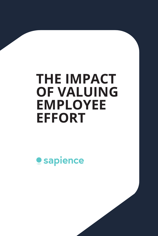# **THE IMPACT OF VALUING EMPLOYEE EFFORT**

**Sapience**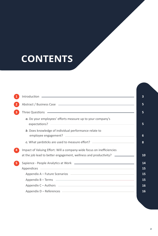# **CONTENTS**

|                                                                                                                                                                                                                                                                                                                                                                                                       | 3                          |
|-------------------------------------------------------------------------------------------------------------------------------------------------------------------------------------------------------------------------------------------------------------------------------------------------------------------------------------------------------------------------------------------------------|----------------------------|
|                                                                                                                                                                                                                                                                                                                                                                                                       | 5                          |
| Three Questions <b>- Three Questions</b> - Three Questions <b>- Three Questions</b> - Three Questions - Three Outstandings - Three Outstandings - Three Outstandings - Three Outstandings - Three Outstandings - Three Outstandings - Th                                                                                                                                                              | 5                          |
| a. Do your employees' efforts measure up to your company's                                                                                                                                                                                                                                                                                                                                            | 5                          |
| <b>b.</b> Does knowledge of individual performance relate to                                                                                                                                                                                                                                                                                                                                          | 6                          |
| c. What yardsticks are used to measure effort? _________________________________                                                                                                                                                                                                                                                                                                                      | 8                          |
| Impact of Valuing Effort: Will a company-wide focus on inefficiencies<br>at the job lead to better engagement, wellness and productivity? _______________                                                                                                                                                                                                                                             | 10                         |
| Appendices experiences and a series of the series of the series of the series of the series of the series of the series of the series of the series of the series of the series of the series of the series of the series of t<br>Appendix B – Terms – 2008 and 2008 and 2008 and 2008 and 2008 and 2008 and 2008 and 2008 and 2008 and 2008 and<br>Appendix C - Authors <b>Constant Construction</b> | 14<br>15<br>15<br>15<br>16 |
| Appendix D - References <u>experiences</u>                                                                                                                                                                                                                                                                                                                                                            | 16                         |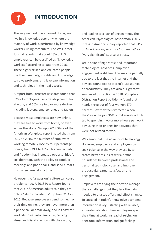

## **INTRODUCTION** *1*

The way we work has changed. Today, we live in a knowledge economy, where the majority of work is performed by knowledge workers, using computers. The Wall Street Journal reports that about 48% of U.S. employees can be classified as "knowledge workers," according to data from 2016. These highly skilled and educated people use their creativity, insights and knowledge to solve problems, and leverage information and technology in their daily work.

A report from Forrester Research found that 82% of employees use a desktop computer at work, and 66% use two or more devices, including laptops, smartphones and tablets.

Because most employees are now online, they are free to work from home, or even across the globe. Gallup's 2018 State of the American Workplace report noted that from 2012 to 2016, the number of employees working remotely rose by four percentage points, from 39% to 43%. This connectivity and freedom has increased opportunities for collaboration, with the ability to conduct meetings and phone calls, and send e-mails from anywhere, at any time.

However, the "always on" culture can cause problems, too. A 2018 Pew Report found that 26% of American adults said they are online "almost constantly," up from 21% in 2015. Because employees spend so much of their time online, they are never more than a phone call or email away, and it's easy for work life to eat into family life, causing stress and dissatisfaction with their work,

and leading to a lack of engagement. The American Psychological Association's 2017 Stress in America survey reported that 61% of Americans say work is a "somewhat" or "very significant" source of stress.

Yet in spite of high stress and important technological advances, employee engagement is still low. This may be partially due to the fact that the Internet and the devices connected to it aren't just sources of productivity. They are also our greatest sources of distraction. A 2018 Workplace Distraction Report by Udemy found that nearly three out of four workers (70 percent) say they feel distracted when they're on the job. 36% of millennials admitted to spending two or more hours per work day using their phones for activities that were not related to work.

We cannot halt the advance of technology. However, employers and employees can seek balance in the way they use it, to create better results at work, define boundaries between professional and personal technology use, and improve productivity, career satisfaction and engagement.

Employers are trying their best to manage these challenges, but they lack the data needed to analyze effort and effect change. To succeed in today's knowledge economy, information is key—starting with reliable, accurate data about how employees spend their time at work. Instead of relying on anecdotal information and gut feelings,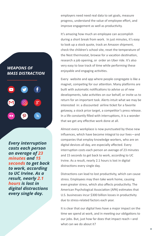*WEAPONS OF MASS DISTRACTION*  $\blacksquare$ 

*Every interruption costs each person an average of 23 minutes and 15 seconds to get back to work, according to UC Irvine. As a result, nearly 2.1 hours is lost in digital distractions every single day.* 

employers need need real data to set goals, measure progress, understand the value of employee effort, and improve engagement as well as productivity.

It's amazing how much an employee can accomplish during a short break from work. In just minutes, it's easy to look up a stock quote, track an Amazon shipment, check the children's school site, reset the temperature of the Nest thermostat, browse for a vacation destination, research a job opening, or order an Uber ride. It's also very easy to lose track of time while performing these enjoyable and engaging activities.

Every website and app where people congregate is like a magnet, competing for our attention. Many platforms are built with automatic notifications to advise us of new developments, take activities on our behalf, or invite us to return for an important task. Alerts intuit what we may be interested in: a discounted airline ticket for a favorite getaway, a stock price target, a competitor's press release. In a life constantly filled with interruptions, it is a wonder that we get any effective work done at all.

Almost every workplace is now punctuated by these new influences, which have become integral to our lives—and companies that employ knowledge workers, who are on digital devices all day, are especially affected. Every interruption costs each person an average of 23 minutes and 15 seconds to get back to work, according to UC Irvine. As a result, nearly 2.1 hours is lost in digital distractions every single day.

Distractions can lead to lost productivity, which can cause stress. Employees may then take work home, causing even greater stress, which also affects productivity. The American Psychological Association (APA) estimates that U.S. businesses incur \$300 billion losses in productivity due to stress-related factors each year.

It is clear that our digital lives have a major impact on the time we spend at work, and in meeting our obligations to our jobs. But, just how far does that impact reach—and what can we do about it?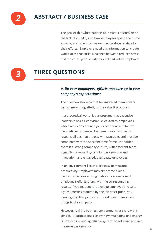

The goal of this white paper is to initiate a discussion on the lack of visibility into how employees spend their time at work, and how much value they produce relative to their efforts. Employers need this information to create workplaces that strike a balance between reduced stress and increased productivity for each individual employee.



# **THREE QUESTIONS**

### *a. Do your employees' efforts measure up to your company's expectations?*

The question above cannot be answered if employers cannot measuring effort, or the value it produces.

In a theoretical world, let us presume that executive leadership has a clear vision, executed by employees who have clearly defined job descriptions and follow well-defined processes. Each employee has specific responsibilities that are easily measurable, and must be completed within a specified time frame. In addition, there is a strong company culture, with excellent team dynamics, a reward system for performance and innovation, and engaged, passionate employees.

In an environment like this, it's easy to measure productivity. Employers may simply conduct a performance review using metrics to evaluate each employee's efforts, along with the corresponding results. If you mapped the average employee's results against metrics required by the job description, you would get a clear picture of the value each employee brings to the company.

However, real-life business environments are rarely this simple. HR professionals know how much time and energy is invested in creating reliable systems to set standards and measure performance.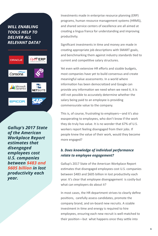## *WILL ENABLING TOOLS HELP TO DELIVER ALL RELEVANT DATA?*



*Gallup's 2017 State of the American Workplace Report estimates that disengaged employees cost U.S. companies between \$483 and \$605 billion in lost productivity each year.*

Investments made in enterprise resource planning (ERP) programs, human resource management systems (HRMS), and shared service centers of excellence are all aimed at creating a lingua franca for understanding and improving productivity.

Significant investments in time and money are made in creating appropriate job descriptions with SMART goals, and benchmarking them against industry standards tied to current and competitive salary structures.

Yet even with extensive HR efforts and sizable budgets, most companies have yet to build consensus and create meaningful value assessments. In a world where information has been democratized and Google can provide any information we need when we need it, it is still not possible to accurately determine whether the salary being paid to an employee is providing commensurate value to the company.

This is, of course, frustrating to employers—and it's also exasperating to employees, who don't know if the work they do truly has value. It is no wonder that 67% of U.S. workers report feeling disengaged from their jobs. If people knew the value of their work, would they become more engaged?

#### *b. Does knowledge of individual performance relate to employee engagement?*

Gallup's 2017 State of the American Workplace Report estimates that disengaged employees cost U.S. companies between \$483 and \$605 billion in lost productivity each year. It's clear that employee disengagement is costly-but what can employers do about it?

In most cases, the HR department strives to clearly define positions, carefully assess candidates, promote the company brand, and on-board new recruits. A sizable investment in time and energy is required to hire employees, ensuring each new recruit is well-matched to their position—but what happens once they settle into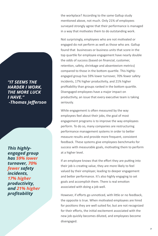the workplace? According to the same Gallup study mentioned above, not much. Only 21% of employees surveyed strongly agree that their performance is managed in a way that motivates them to do outstanding work.

Not surprisingly, employees who are not motivated or engaged do not perform as well as those who are. Gallup found that businesses or business units that score in the top quartile for employee engagement have nearly double the odds of success (based on financial, customer, retention, safety, shrinkage and absenteeism metrics) compared to those in the bottom quartile. This highlyengaged group has 59% lower turnover, 70% fewer safety incidents, 17% higher productivity, and 21% higher profitability than groups ranked in the bottom quartile. Disengaged employees have a major impact on productivity, an issue that every executive team is taking seriously.

While engagement is often measured by the way employees feel about their jobs, the goal of most engagement programs is to improve the way employees perform. To do so, many companies are restructuring performance management systems in order to better measure results and provide more frequent, consistent feedback. These systems give employees benchmarks for success with measurable goals, motivating them to perform at a higher level.

If an employee knows that the effort they are putting into their job is creating value, they are more likely to feel valued by their employer, leading to deeper engagement and better performance. It's also highly engaging to set goals and accomplish them. There is real emotion associated with doing a job well.

However, if efforts go unnoticed, with little or no feedback, the opposite is true. When motivated employees are hired for positions they are well suited for, but are not recognized for their efforts, the initial excitement associated with the new job quickly becomes diluted, and employees become disengaged.

*"IT SEEMS THE HARDER I WORK, THE MORE LUCK I HAVE." -Thomas Jefferson*

*This highlyengaged group has 59% lower turnover, 70% fewer safety incidents, 17% higher productivity, and 21% higher profitability*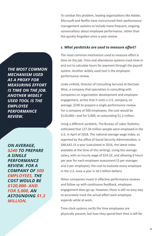To combat this problem, leading organizations like Adobe, Microsoft and Netflix have restructured their performance management systems to include more frequent, ongoing conversations about employee performance, rather than the quickly forgotten once-a-year review.

#### *c. What yardsticks are used to measure effort?*

The most common mechanism used to measure effort is time on the job. Time and attendance systems track time in and out to calculate hours for payment through the payroll system. Another widely used tool is the employee performance review.

Linda Linfield, Director of Consulting Services at Decision Wise, a company that specializes in consulting with companies on organization development and employee engagement, writes that it costs a U.S. company, on average, \$240 to prepare a single performance review. For a company of 500 employees, the cost would be \$120,000—and for 5,000, an astounding \$1.2 million.

Using a different yardstick, The Bureau of Labor Statistics estimated that 127.34 million people were employed in the U.S. in April of 2018. The national average wage index, as reported by the office of Social Security Administration, is \$48,642.15 a year (calculated in 2016, the latest index available at the time of this writing). Using this average salary, with an hourly wage of \$24.32, and allowing 6 hours per year for each employee assessment (3 per manager and 3 per employee), the cost to evaluate every employee in the U.S. once a year is 18.5 billion dollars!

When companies invest in effective performance reviews and follow up with continuous feedback, employee engagement does go up. However, there is still no easy way to accurately track the actual effort each employee expends while at work.

Time clock systems verify the time employees are physically present, but how they spend their time is left for

*THE MOST COMMON MECHANISM USED AS A PROXY FOR MEASURING EFFORT IS TIME ON THE JOB. ANOTHER WIDELY USED TOOL IS THE EMPLOYEE PERFORMANCE REVIEW.*

*ON AVERAGE, \$240 TO PREPARE A SINGLE PERFORMANCE REVIEW. FOR A COMPANY OF 500 EMPLOYEES, THE COST WOULD BE \$120,000- AND FOR 5,000, AN ASTOUNDING \$1.2 MILLION.*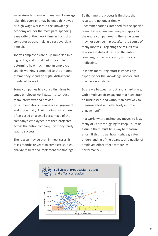supervisors to manage. In manual, low-wage jobs, this oversight may be enough. However, high-wage workers in the knowledge economy are, for the most part, spending a majority of their work time in front of a computer screen, making direct oversight difficult.

Today's employees are fully immersed in a digital life, and it is all but impossible to determine how much time an employee spends working, compared to the amount of time they spend on digital distractions unrelated to work.

Some companies hire consulting firms to study employee work patterns, conduct team interviews and provide recommendations to enhance engagement and productivity. Their findings, which are often based on a small percentage of the company's employees, are then projected across the entire company—yet they rarely lead to success.

The reason may be that, in most cases, it takes months or years to complete studies, analyze results and implement the findings.

By the time the process is finished, the results are no longer timely. Recommendations intended for the specific team that was analyzed may not apply to the entire company—and the same team may not even be in place after the course of many months. Projecting the results of a few, on a statistical basis, to the entire company, is Inaccurate and, ultimately, ineffective.

It seems measuring effort is impossibly expensive for the knowledge worker, and may be a non-starter.

So are we between a rock and a hard place, with employee disengagement a huge drain on businesses, and without an easy way to measure effort and effectively improve engagement?

In a world where technology moves so fast, many of us are struggling to keep up, let us assume there must be a way to measure effort. If this is true, how might a greater understanding of the quantity and quality of employee effort affect companies' performance?

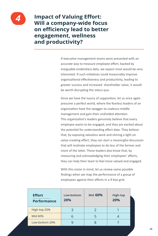

*4* **Impact of Valuing Effort: Will a company-wide focus on efficiency lead to better engagement, wellness and productivity?**

> If executive management teams were presented with an accurate way to measure employee effort, backed by inarguable evidentiary data, we expect most would be very interested. If such initiatives could measurably improve organizational effectiveness and productivity, leading to greater success and increased shareholder value, it would be worth disrupting the status quo.

> Since we have the luxury of supposition, let us once again presume a perfect world, where the fearless leaders of an organization have the swagger to coalesce middle management and gain their undivided attention. This organization's leaders genuinely believe that every employee wants to be engaged, and they are excited about the potential for understanding effort data. They believe that, by exposing valueless work and shining a light on value-creating effort, they can start a meaningful discussion that will motivate employees to do less of the former and more of the latter. These leaders also know that, by measuring and acknowledging their employees' efforts, they can help their team to feel more valued and engaged.

With this vision in mind, let us review some possible findings when we map the performance of a group of employees against their efforts in a 9-box grid.

| <b>Effort</b><br><b>Performance</b> | Low-bottom<br>20% | Mid 60%       | <b>High-top</b><br>20% |
|-------------------------------------|-------------------|---------------|------------------------|
| High-top 20%                        | 3                 | $\mathcal{P}$ |                        |
| Mid 60%                             | 6                 |               |                        |
| Low-bottom 20%                      |                   |               |                        |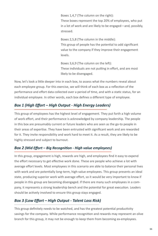Boxes 1,4,7 (The column on the right):

These boxes represent the top 20% of employees, who put in a lot of work and are likely to be engaged—and, possibly, stressed.

Boxes 2,5,8 (The column in the middle): This group of people has the potential to add significant value to the company if they improve their engagement levels.

Boxes 3,6,9 (The column on the left): These individuals are not putting in effort, and are most likely to be disengaged.

Now, let's look a little deeper into in each box, to assess what the numbers reveal about each employee group. For this exercise, we will think of each box as a reflection of the performance and effort data collected over a period of time, and with a static status, for an individual employee. In other words, each box defines a different type of employee.

## *Box 1 (High Effort – High Output - High Energy Leaders)*

This group of employees has the highest level of engagement. They put forth a high volume of work effort, and their performance is acknowledged by company leadership. The people in this box are presumably current or future leaders who are seen as the go-to people in their areas of expertise. They have been entrusted with significant work and are rewarded for it. They invite responsibility and work hard to meet it. As a result, they are likely to be highly stressed and subject to burnout.

## *Box 2 (Mid Effort – Big Recognition - High value employees)*

In this group, engagement is high, rewards are high, and employees find it easy to expend the effort necessary to get effective work done. These are people who achieve a lot with average effort levels. Most employees in this scenario are able to balance their personal lives with work and are potentially long-term, high-value employees. This group presents an ideal state, producing superior work with average effort, so it would be very important to know if people in this group are becoming disengaged. If there are many such employees in a company, it represents a strong leadership bench and the potential for great execution. Leaders should be actively involved to ensure this group stays engaged.

## *Box 3 (Low Effort – High Output - Talent Loss Risk)*

This group definitely needs to be watched, and has the greatest potential productivity savings for the company. While performance recognition and rewards may represent an olive branch for this group, it may not be enough to keep them from becoming ex-employees.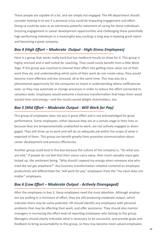These people are capable of a lot, and are simply not engaged. The HR department should consider looking in to see if a personal crisis could be impacting engagement and effort. Doing so could be seen as an extremely powerful statement of caring for these individuals. Ensuring engagement in career development opportunities and challenging these potentially high-performing individuals in a meaningful way could go a long way in keeping great talent and becoming a great company.

### *Box 4 (High Effort – Moderate Output - High-Stress Employees)*

Here is a group that works really hard but has mediocre results to show for it. This group is highly stressed and is well suited for coaching. They could surely benefit from a little Work Yoga. If this group was coached to channel their effort into getting more value out of their work they do, and understanding which parts of their work do not create value, they would become more effective and less stressed, all at the same time. This may also be a phenomenal opportunity for the companies to invest in understanding where inefficiencies exist, so they may automate or change processes in order to reduce the effort connected to valueless tasks. Employees would welcome a business transformation that helps them avoid wasted time and energy—and the results would delight shareholders, too.

## *Box 5 (Mid Effort – Moderate Output - Will Work for Pay)*

This group of employees does not put in great effort and is not acknowledged for great performance. Some employees, either because they are at a certain stage in their lives or because they are temperamentally unattached to work, are not actively engaged or disengaged. They will show up to work and will do an adequate job within the scope of what is expected of them. This group can benefit greatly from proactive communication about career development and process efficiencies.

Another group could land in this box because the culture of the company is, "Do what you are told." If people do not feel that their voices carry value, then much valuable input gets locked up, the sentiment being, "Why should I expend my energy when someone else who tried did not get anywhere?" Any business transformation initiative centered on employee productivity will differentiate the "will work for pay" employees from the "my input does not matter" employees.

## *Box 6 (Low Effort – Moderate Output - Actively Disengaged)*

After the employees in box 3, these employees need the most attention. Although employees are putting in a minimum of effort, they are still producing moderate output, which indicates there may be some potential. HR should identify any employees with personal problems that may be affecting their work, and offer assistance. They should also mentor managers in increasing the effort level of reporting employees who belong to this group. Managers should clearly articulate what is necessary to be successful, and provide goals and feedback to bring accountability to this group, so they may become more valued employees.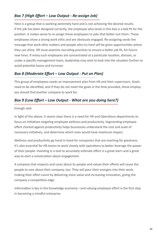## *Box 7 (High Effort – Low Output - Re-assign Job)*

Here is a group that is working extremely hard and is not achieving the desired results. If the job has been designed correctly, the employee who lands in this box is a bad fit for the position. It makes sense to re-assign these employees to jobs that better suit them. These employees show a strong work ethic and are obviously engaged. Re-assigning sends the message that work ethic matters and people who try hard will be given opportunities where they can shine. HR must examine recruiting practices to ensure a better job fit, for future new hires. If many such employees are concentrated at a particular location, division, or under a specific management team, leadership may wish to look into the situation further to avoid potential losses and turnover.

## *Box 8 (Moderate Effort – Low Output - Put on Plan)*

This group of employees needs an improvement plan from HR and their supervisors. Goals need to be identified, and if they do not meet the goals in the time provided, these employees should find another company to work for.

## *Box 9 (Low Effort – Low Output - What are you doing here?)*

Enough said.

In light of the above, it seems clear there is a need for HR and Operations departments to focus on initiatives targeting employee wellness and productivity. Segmenting employee effort charted against productivity helps businesses understand the cost and scale of necessary initiatives, and determine which ones would have maximum impact.

Wellness and productivity go hand in hand for companies that are reaching for greatness. It's also essential for HR teams to work closely with operations to better leverage the power of their people. Investing in a tool to accurately estimate effort is a great start–and a great way to start a conversation about engagement.

A company that respects and cares about its people and values their efforts will cause the people to care about their company, too. They will pour their energies into their work, making their effort count by delivering more value and increasing innovation, giving the company a competitive edge.

Information is key in the knowledge economy—and valuing employee effort is the first step in becoming a mindful enterprise.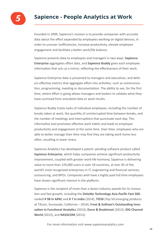

# **Sapience - People Analytics at Work**

Founded in 2009, Sapience's mission is to provide companies with accurate data about the effort expended by employees working on digital devices, in order to uncover inefficiencies, increase productivity, elevate employee engagement and facilitate a better work/life balance.

Sapience presents data to employees and managers in two ways: **Sapience Enterprise** aggregates effort data, and **Sapience Buddy** gives each employee information that acts as a mirror, reflecting the effectiveness of their work.

Sapience Enterprise data is presented to managers and executives, and delivers effective metrics that aggregate effort into activities, such as communication, programming, meeting or documentation. The ability to see, for the first time, where effort is going allows managers and leaders to validate what they have surmised from anecdotal data or work results.

Sapience Buddy tracks tasks of individual employees, including the number of breaks taken at work, the quantity of uninterrupted time between breaks, and the number of meetings and interruptions that punctuate each day. This informative tool promotes effective work habits and leads to employee productivity and engagement at the same time. Over time, employees who are able to better manage their time may find they are taking work home less often, resulting in lower stress.

Sapience Analytics has developed a patent--pending software product called **Sapience Enterprise**, which helps companies achieve significant productivity improvement, coupled with greater work-life harmony. Sapience is delivering value to more than 120,000 users in over 18 countries, at over 85 of the world's most recognized enterprises in IT, engineering and financial services, outsourcing, and BPOs. Companies with have a highly paid full time employees have shown significant interest in the platform.

Sapience is the recipient of more than a dozen industry awards for its innova- �on and fast growth, including the **Deloi�e Technology Asia Pacific Fast 500** ranked **# 98 in APAC** and **# 7 in India** (2014), **TiE50** (Top 50 emerging products at TiEcon, Sunnyvale, California – 2014), **Frost & Sullivan's Outstanding Inno**vation in Functional Analytics (2014), Dunn & Bradstreet (2013), IDG Channel **World** (2013), and **NASSCOM** (2013).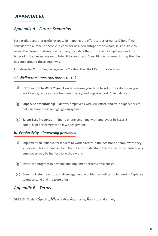## *APPENDICES*

## *Appendix A – Future Scenarios*

Let's explore another useful exercise in mapping the effort-to-performance 9-box. If we consider the number of people in each box as a percentage of the whole, it is possible to reveal the current makeup of a company, including the culture of its employees and the types of initiatives necessary to bring it to greatness. Consulting engagements may then be designed around these initiatives.

Initiatives for Consulting Engagements Creating the Effort Performance 9-Box

#### *a) Wellness – improving engagement*

- a) Introduction to Work Yoga How to manage your time to get more value from your work hours, reduce stress from inefficiency, and improve work / life balance.
- b) Supervisor Mentorship Identify employees with low effort, and train supervisors to help increase effort and gauge engagement.
- c) Talent Loss Prevention Spend energy and time with employees in Boxes 2 and 3: high performers with low engagement.

#### *b) Productivity – improving processes*

- $\hat{a}$ ) Implement an initiative for leaders to work directly in the positions of employees they supervise. This exercise can help them better understand the reasons why hardworking employees may be ineffective in their work.
- *b* Invest in a program to develop and implement process efficiencies.
- $\epsilon)$  Communicate the efforts of all engagement activities, including implementing Sapience to understand and measure effort.

#### *Appendix B – Terms*

**SMART** Goals: - *S*pecific, *M*easurable, *A*�ainable, *R*ealis�c and *T*imely